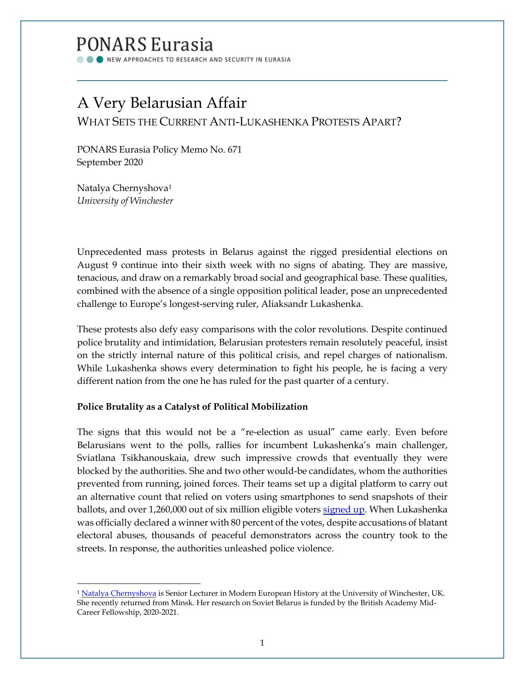# PONARS Eurasia

NEW APPROACHES TO RESEARCH AND SECURITY IN EURASIA

# A Very Belarusian Affair

WHAT SETS THE CURRENT ANTI-LUKASHENKA PROTESTS APART?

PONARS Eurasia Policy Memo No. 671 September 2020

Natalya Chernyshova[1](#page-0-0) *University of Winchester*

Unprecedented mass protests in Belarus against the rigged presidential elections on August 9 continue into their sixth week with no signs of abating. They are massive, tenacious, and draw on a remarkably broad social and geographical base. These qualities, combined with the absence of a single opposition political leader, pose an unprecedented challenge to Europe's longest-serving ruler, Aliaksandr Lukashenka.

These protests also defy easy comparisons with the color revolutions. Despite continued police brutality and intimidation, Belarusian protesters remain resolutely peaceful, insist on the strictly internal nature of this political crisis, and repel charges of nationalism. While Lukashenka shows every determination to fight his people, he is facing a very different nation from the one he has ruled for the past quarter of a century.

## **Police Brutality as a Catalyst of Political Mobilization**

The signs that this would not be a "re-election as usual" came early. Even before Belarusians went to the polls, rallies for incumbent Lukashenka's main challenger, Sviatlana Tsikhanouskaia, drew such impressive crowds that eventually they were blocked by the authorities. She and two other would-be candidates, whom the authorities prevented from running, joined forces. Their teams set up a digital platform to carry out an alternative count that relied on voters using smartphones to send snapshots of their ballots, and over 1,260,000 out of six million eligible voters [signed up.](https://belarus2020.org/) When Lukashenka was officially declared a winner with 80 percent of the votes, despite accusations of blatant electoral abuses, thousands of peaceful demonstrators across the country took to the streets. In response, the authorities unleashed police violence.

<span id="page-0-0"></span><sup>&</sup>lt;sup>1</sup> [Natalya Chernyshova](https://www.winchester.ac.uk/about-us/leadership-and-governance/staff-directory/staff-profiles/chernyshova.php) is Senior Lecturer in Modern European History at the University of Winchester, UK. She recently returned from Minsk. Her research on Soviet Belarus is funded by the British Academy Mid-Career Fellowship, 2020-2021.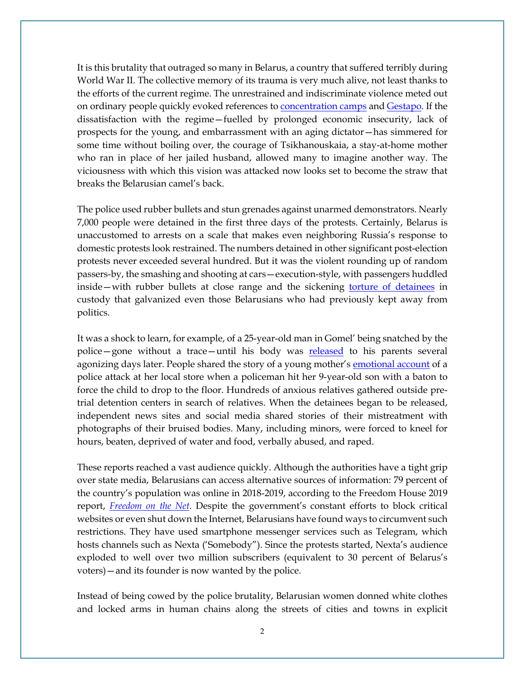It is this brutality that outraged so many in Belarus, a country that suffered terribly during World War II. The collective memory of its trauma is very much alive, not least thanks to the efforts of the current regime. The unrestrained and indiscriminate violence meted out on ordinary people quickly evoked references to [concentration](https://www.svaboda.org/a/30781512.html) camps an[d Gestapo.](https://www.svaboda.org/a/30781512.html) If the dissatisfaction with the regime—fuelled by prolonged economic insecurity, lack of prospects for the young, and embarrassment with an aging dictator—has simmered for some time without boiling over, the courage of Tsikhanouskaia, a stay-at-home mother who ran in place of her jailed husband, allowed many to imagine another way. The viciousness with which this vision was attacked now looks set to become the straw that breaks the Belarusian camel's back.

The police used rubber bullets and stun grenades against unarmed demonstrators. Nearly 7,000 people were detained in the first three days of the protests. Certainly, Belarus is unaccustomed to arrests on a scale that makes even neighboring Russia's response to domestic protests look restrained. The numbers detained in other significant post-election protests never exceeded several hundred. But it was the violent rounding up of random passers-by, the smashing and shooting at cars—execution-style, with passengers huddled inside—with rubber bullets at close range and the sickening [torture of detainees](https://www.ohchr.org/EN/NewsEvents/Pages/DisplayNews.aspx?NewsID=26199&LangID=E) in custody that galvanized even those Belarusians who had previously kept away from politics.

It was a shock to learn, for example, of a 25-year-old man in Gomel' being snatched by the police—gone without a trace—until his body was [released](https://news.tut.by/society/696437.html) to his parents several agonizing days later. People shared the story of a young mother's [emotional account](https://charter97.org/ru/news/2020/8/13/389392/) of a police attack at her local store when a policeman hit her 9-year-old son with a baton to force the child to drop to the floor. Hundreds of anxious relatives gathered outside pretrial detention centers in search of relatives. When the detainees began to be released, independent news sites and social media shared stories of their mistreatment with photographs of their bruised bodies. Many, including minors, were forced to kneel for hours, beaten, deprived of water and food, verbally abused, and raped.

These reports reached a vast audience quickly. Although the authorities have a tight grip over state media, Belarusians can access alternative sources of information: 79 percent of the country's population was online in 2018-2019, according to the Freedom House 2019 report, *[Freedom on the Net](https://freedomhouse.org/country/belarus/freedom-net/2019)*. Despite the government's constant efforts to block critical websites or even shut down the Internet, Belarusians have found ways to circumvent such restrictions. They have used smartphone messenger services such as Telegram, which hosts channels such as Nexta ('Somebody"). Since the protests started, Nexta's audience exploded to well over two million subscribers (equivalent to 30 percent of Belarus's voters)—and its founder is now wanted by the police.

Instead of being cowed by the police brutality, Belarusian women donned white clothes and locked arms in human chains along the streets of cities and towns in explicit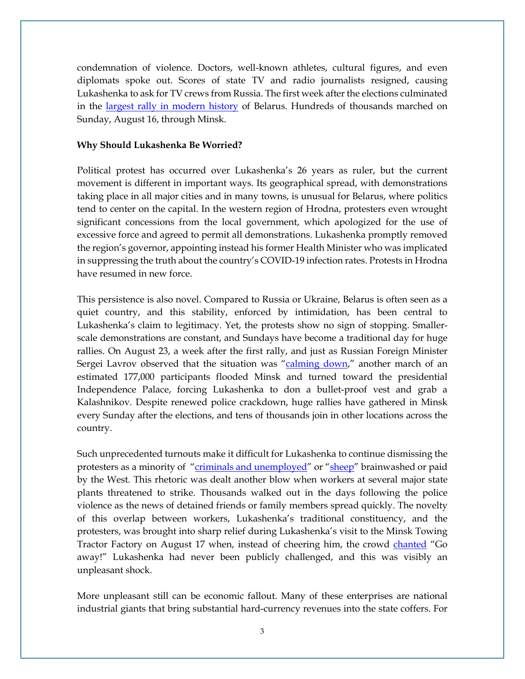condemnation of violence. Doctors, well-known athletes, cultural figures, and even diplomats spoke out. Scores of state TV and radio journalists resigned, causing Lukashenka to ask for TV crews from Russia. The first week after the elections culminated in the [largest rally in modern history](https://www.theguardian.com/world/video/2020/aug/16/minsk-biggest-protest-in-belarus-history-video) of Belarus. Hundreds of thousands marched on Sunday, August 16, through Minsk.

### **Why Should Lukashenka Be Worried?**

Political protest has occurred over Lukashenka's 26 years as ruler, but the current movement is different in important ways. Its geographical spread, with demonstrations taking place in all major cities and in many towns, is unusual for Belarus, where politics tend to center on the capital. In the western region of Hrodna, protesters even wrought significant concessions from the local government, which apologized for the use of excessive force and agreed to permit all demonstrations. Lukashenka promptly removed the region's governor, appointing instead his former Health Minister who was implicated in suppressing the truth about the country's COVID-19 infection rates. Protests in Hrodna have resumed in new force.

This persistence is also novel. Compared to Russia or Ukraine, Belarus is often seen as a quiet country, and this stability, enforced by intimidation, has been central to Lukashenka's claim to legitimacy. Yet, the protests show no sign of stopping. Smallerscale demonstrations are constant, and Sundays have become a traditional day for huge rallies. On August 23, a week after the first rally, and just as Russian Foreign Minister Sergei Lavrov observed that the situation was ["calming down,](https://tass.ru/politika/9268489)" another march of an estimated 177,000 participants flooded Minsk and turned toward the presidential Independence Palace, forcing Lukashenka to don a bullet-proof vest and grab a Kalashnikov. Despite renewed police crackdown, huge rallies have gathered in Minsk every Sunday after the elections, and tens of thousands join in other locations across the country.

Such unprecedented turnouts make it difficult for Lukashenka to continue dismissing the protesters as a minority of ["criminals and unemployed"](http://president.gov.by/ru/news_ru/view/soveschanie-po-aktualnym-voprosam-24274/) or ["sheep"](http://president.gov.by/ru/news_ru/view/vstrecha-s-predsedatelem-ispolnitelnogo-komiteta-ispolnitelnym-sekretarem-sng-sergeem-lebedevym-24220/) brainwashed or paid by the West. This rhetoric was dealt another blow when workers at several major state plants threatened to strike. Thousands walked out in the days following the police violence as the news of detained friends or family members spread quickly. The novelty of this overlap between workers, Lukashenka's traditional constituency, and the protesters, was brought into sharp relief during Lukashenka's visit to the Minsk Towing Tractor Factory on August 17 when, instead of cheering him, the crowd [chanted](https://www.theguardian.com/world/video/2020/aug/17/belarus-workers-chant-resign-at-lukashenko-on-factory-visit-video) "Go away!" Lukashenka had never been publicly challenged, and this was visibly an unpleasant shock.

More unpleasant still can be economic fallout. Many of these enterprises are national industrial giants that bring substantial hard-currency revenues into the state coffers. For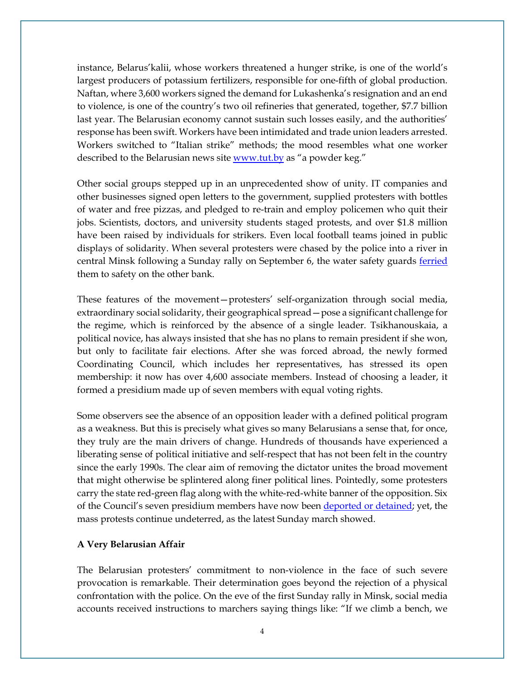instance, Belarus'kalii, whose workers threatened a hunger strike, is one of the world's largest producers of potassium fertilizers, responsible for one-fifth of global production. Naftan, where 3,600 workers signed the demand for Lukashenka's resignation and an end to violence, is one of the country's two oil refineries that generated, together, \$7.7 billion last year. The Belarusian economy cannot sustain such losses easily, and the authorities' response has been swift. Workers have been intimidated and trade union leaders arrested. Workers switched to "Italian strike" methods; the mood resembles what one worker described to the Belarusian news site [www.tut.by](https://finance.tut.by/news698463.html) as "a powder keg."

Other social groups stepped up in an unprecedented show of unity. IT companies and other businesses signed open letters to the government, supplied protesters with bottles of water and free pizzas, and pledged to re-train and employ policemen who quit their jobs. Scientists, doctors, and university students staged protests, and over \$1.8 million have been raised by individuals for strikers. Even local football teams joined in public displays of solidarity. When several protesters were chased by the police into a river in central Minsk following a Sunday rally on September 6, the water safety guards [ferried](https://news.tut.by/society/699584.html) them to safety on the other bank.

These features of the movement—protesters' self-organization through social media, extraordinary social solidarity, their geographical spread—pose a significant challenge for the regime, which is reinforced by the absence of a single leader. Tsikhanouskaia, a political novice, has always insisted that she has no plans to remain president if she won, but only to facilitate fair elections. After she was forced abroad, the newly formed Coordinating Council, which includes her representatives, has stressed its open membership: it now has over 4,600 associate members. Instead of choosing a leader, it formed a presidium made up of seven members with equal voting rights.

Some observers see the absence of an opposition leader with a defined political program as a weakness. But this is precisely what gives so many Belarusians a sense that, for once, they truly are the main drivers of change. Hundreds of thousands have experienced a liberating sense of political initiative and self-respect that has not been felt in the country since the early 1990s. The clear aim of removing the dictator unites the broad movement that might otherwise be splintered along finer political lines. Pointedly, some protesters carry the state red-green flag along with the white-red-white banner of the opposition. Six of the Council's seven presidium members have now been [deported or detained;](https://news.tut.by/economics/699796.html?utm_campaign=recirculation_mail&utm_medium=bottom_news&utm_source=news.tut.by) yet, the mass protests continue undeterred, as the latest Sunday march showed.

#### **A Very Belarusian Affair**

The Belarusian protesters' commitment to non-violence in the face of such severe provocation is remarkable. Their determination goes beyond the rejection of a physical confrontation with the police. On the eve of the first Sunday rally in Minsk, social media accounts received instructions to marchers saying things like: "If we climb a bench, we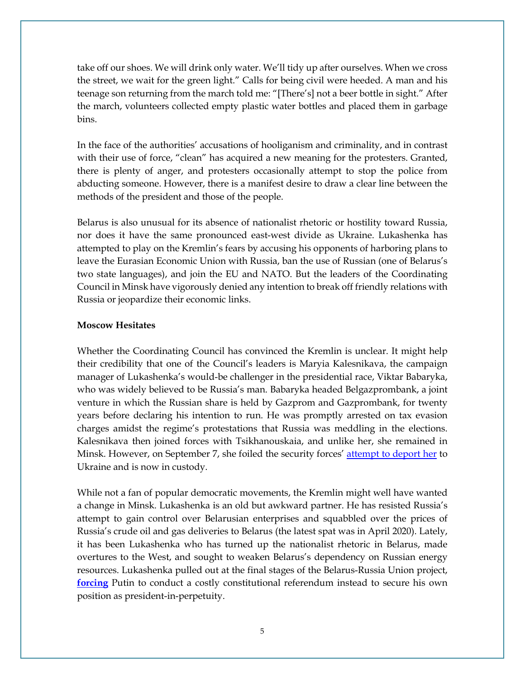take off our shoes. We will drink only water. We'll tidy up after ourselves. When we cross the street, we wait for the green light." Calls for being civil were heeded. A man and his teenage son returning from the march told me: "[There's] not a beer bottle in sight." After the march, volunteers collected empty plastic water bottles and placed them in garbage bins.

In the face of the authorities' accusations of hooliganism and criminality, and in contrast with their use of force, "clean" has acquired a new meaning for the protesters. Granted, there is plenty of anger, and protesters occasionally attempt to stop the police from abducting someone. However, there is a manifest desire to draw a clear line between the methods of the president and those of the people.

Belarus is also unusual for its absence of nationalist rhetoric or hostility toward Russia, nor does it have the same pronounced east-west divide as Ukraine. Lukashenka has attempted to play on the Kremlin's fears by accusing his opponents of harboring plans to leave the Eurasian Economic Union with Russia, ban the use of Russian (one of Belarus's two state languages), and join the EU and NATO. But the leaders of the Coordinating Council in Minsk have vigorously denied any intention to break off friendly relations with Russia or jeopardize their economic links.

### **Moscow Hesitates**

Whether the Coordinating Council has convinced the Kremlin is unclear. It might help their credibility that one of the Council's leaders is Maryia Kalesnikava, the campaign manager of Lukashenka's would-be challenger in the presidential race, Viktar Babaryka, who was widely believed to be Russia's man. Babaryka headed Belgazprombank, a joint venture in which the Russian share is held by Gazprom and Gazprombank, for twenty years before declaring his intention to run. He was promptly arrested on tax evasion charges amidst the regime's protestations that Russia was meddling in the elections. Kalesnikava then joined forces with Tsikhanouskaia, and unlike her, she remained in Minsk. However, on September 7, she foiled the security forces' [attempt to deport her](https://www.bbc.co.uk/news/world-europe-54068451) to Ukraine and is now in custody.

While not a fan of popular democratic movements, the Kremlin might well have wanted a change in Minsk. Lukashenka is an old but awkward partner. He has resisted Russia's attempt to gain control over Belarusian enterprises and squabbled over the prices of Russia's crude oil and gas deliveries to Belarus (the latest spat was in April 2020). Lately, it has been Lukashenka who has turned up the nationalist rhetoric in Belarus, made overtures to the West, and sought to weaken Belarus's dependency on Russian energy resources. Lukashenka pulled out at the final stages of the Belarus-Russia Union project, **[forcing](https://www.bloomberg.com/news/articles/2020-02-12/putin-wields-oil-weapon-for-a-superstate-to-run-after-russia)** Putin to conduct a costly constitutional referendum instead to secure his own position as president-in-perpetuity.